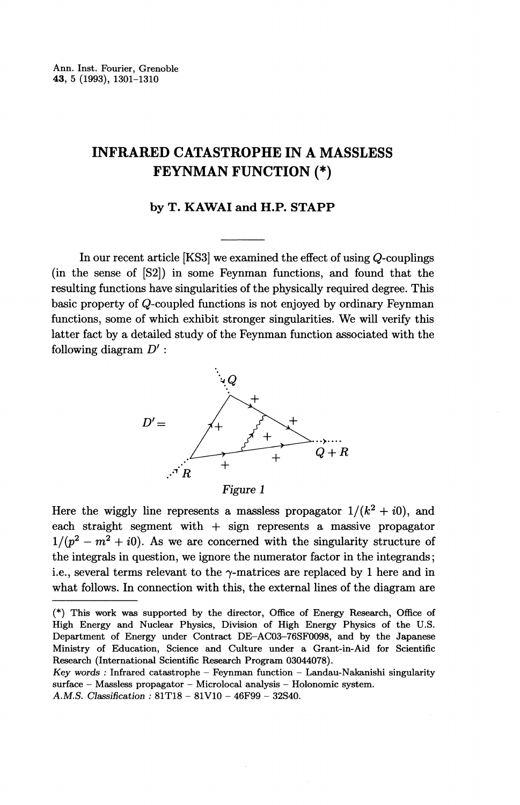# **INFRARED CATASTROPHE** IN **A** MASSLESS FEYNMAN **FUNCTION (\*)**

### **by T. KAWAI and H.P. STAPP**

In our recent article [KS3] we examined the effect of using Q-couplings (in the sense of [S2]) in some Feynman functions, and found that the resulting functions have singularities of the physically required degree. This basic property of Q-coupled functions is not enjoyed by ordinary Feynman functions, some of which exhibit stronger singularities. We will verify this latter fact by a detailed study of the Feynman function associated with the following diagram *D' :*



*Figure 1*

Here the wiggly line represents a massless propagator  $1/(k^2 + i0)$ , and each straight segment with + sign represents a massive propagator  $1/(p^2 - m^2 + i0)$ . As we are concerned with the singularity structure of the integrals in question, we ignore the numerator factor in the integrands; i.e., several terms relevant to the  $\gamma$ -matrices are replaced by 1 here and in what follows. In connection with this, the external lines of the diagram are

<sup>(\*)</sup> This work was supported by the director, Office of Energy Research, Office of High Energy and Nuclear Physics, Division of High Energy Physics of the U.S. Department of Energy under Contract DE-AC03-76SF0098, and by the Japanese Ministry of Education, Science and Culture under a Grant-in-Aid for Scientific Research (International Scientific Research Program 03044078).

*Key words :* Infrared catastrophe - Feynman function - Landau-Nakanishi singularity surface — Massless propagator — Microlocal analysis — Holonomic system.

A.M.S. *Classification :* 81T18 - 81V10 - 46F99 - 32S40.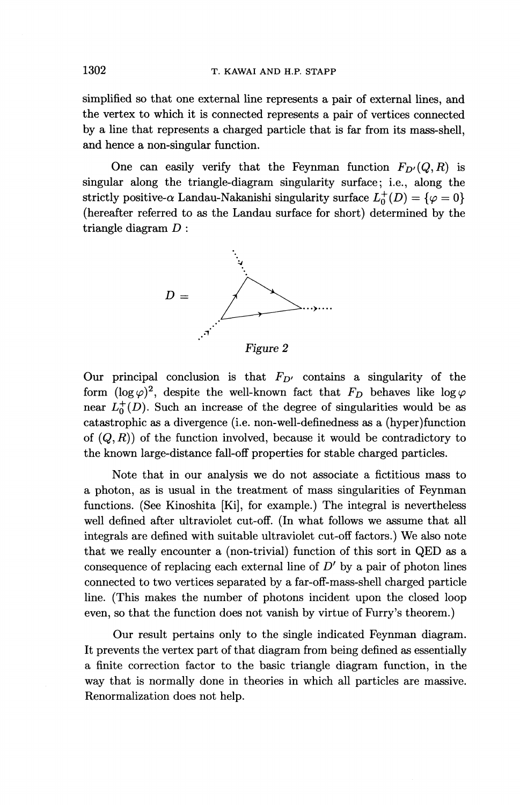simplified so that one external line represents a pair of external lines, and the vertex to which it is connected represents a pair of vertices connected by a line that represents a charged particle that is far from its mass-shell, and hence a non-singular function.

One can easily verify that the Feynman function  $F_{D'}(Q, R)$  is singular along the triangle-diagram singularity surface; i.e., along the strictly positive- $\alpha$  Landau-Nakanishi singularity surface  $L_0^+(D) = {\varphi = 0}$ (hereafter referred to as the Landau surface for short) determined by the triangle diagram *D :*



Our principal conclusion is that  $F_{D'}$  contains a singularity of the form  $(\log \varphi)^2$ , despite the well-known fact that  $F_D$  behaves like  $\log \varphi$ near  $L_0^+(D)$ . Such an increase of the degree of singularities would be as catastrophic as a divergence (i.e. non-well-definedness as a (hyper) function of  $(Q, R)$  of the function involved, because it would be contradictory to the known large-distance fall-off properties for stable charged particles.

Note that in our analysis we do not associate a fictitious mass to a photon, as is usual in the treatment of mass singularities of Feynman functions. (See Kinoshita [Ki], for example.) The integral is nevertheless well defined after ultraviolet cut-off. (In what follows we assume that all integrals are defined with suitable ultraviolet cut-off factors.) We also note that we really encounter a (non-trivial) function of this sort in QED as a consequence of replacing each external line of *D'* by a pair of photon lines connected to two vertices separated by a far-off-mass-shell charged particle line. (This makes the number of photons incident upon the closed loop even, so that the function does not vanish by virtue of Furry's theorem.)

Our result pertains only to the single indicated Feynman diagram. It prevents the vertex part of that diagram from being defined as essentially a finite correction factor to the basic triangle diagram function, in the way that is normally done in theories in which all particles are massive. Renormalization does not help.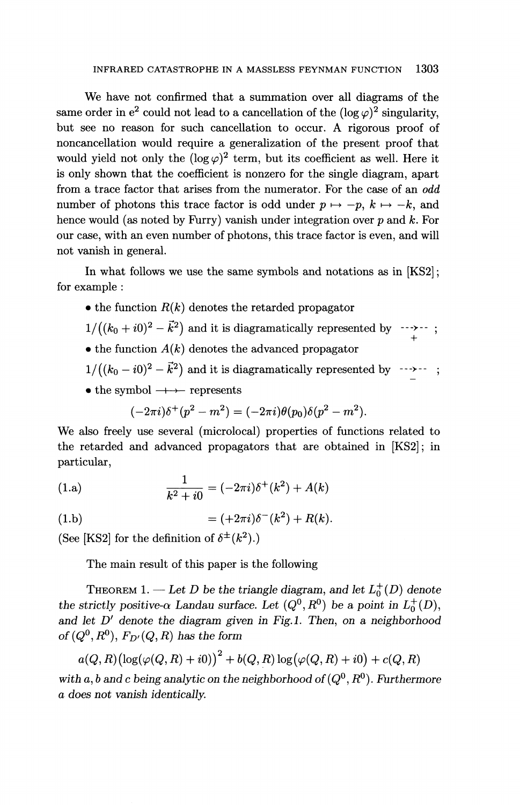We have not confirmed that a summation over all diagrams of the same order in  $e^2$  could not lead to a cancellation of the  $(\log \varphi)^2$  singularity. but see no reason for such cancellation to occur. A rigorous proof of noncancellation would require a generalization of the present proof that would yield not only the  $(\log \varphi)^2$  term, but its coefficient as well. Here it is only shown that the coefficient is nonzero for the single diagram, apart from a trace factor that arises from the numerator. For the case of an *odd* number of photons this trace factor is odd under  $p \mapsto -p$ ,  $k \mapsto -k$ , and hence would (as noted by Furry) vanish under integration over *p* and *k.* For our case, with an even number of photons, this trace factor is even, and will not vanish in general.

In what follows we use the same symbols and notations as in [KS2]; for example :

- $\bullet$  the function  $R(k)$  denotes the retarded propagator
- the function  $h(\kappa)$  denotes the retarded propagator<br> $1/((k_0 + i0)^2 \vec{k}^2)$  and it is diagramatically represented by  $\cdots$ >--;  $+$
- $\bullet$  the function  $A(k)$  denotes the advanced propagator
- $1/((k_0 i0)^2 \vec{k}^2)$  and it is diagramatically represented by
- the symbol  $\rightarrow$  represents

$$
(-2\pi i)\delta^+(p^2 - m^2) = (-2\pi i)\theta(p_0)\delta(p^2 - m^2).
$$

We also freely use several (microlocal) properties of functions related to the retarded and advanced propagators that are obtained in [KS2]; in particular,

(1.a) 
$$
\frac{1}{k^2 + i0} = (-2\pi i)\delta^+(k^2) + A(k)
$$

(1.b) 
$$
= (+2\pi i)\delta^{-}(k^{2}) + R(k).
$$

(See [KS2] for the definition of  $\delta^{\pm}(k^2)$ .)

The main result of this paper is the following

THEOREM 1. — Let D be the triangle diagram, and let  $L_0^+(D)$  denote the strictly positive- $\alpha$  Landau surface. Let  $(Q^0, R^0)$  be a point in  $L_0^+(D)$ , and let D<sup>'</sup> denote the diagram given in Fig.1. Then, on a neighborhood *of*  $(Q^0, R^0)$ ,  $F_{D'}(Q, R)$  has the form

$$
a(Q,R)\bigl(\log(\varphi(Q,R)+i0)\bigr)^2+b(Q,R)\log(\varphi(Q,R)+i0)+c(Q,R)
$$

with a, b and c being analytic on the neighborhood of  $(Q^0, R^0)$ . Furthermore *a does not vanish identically.*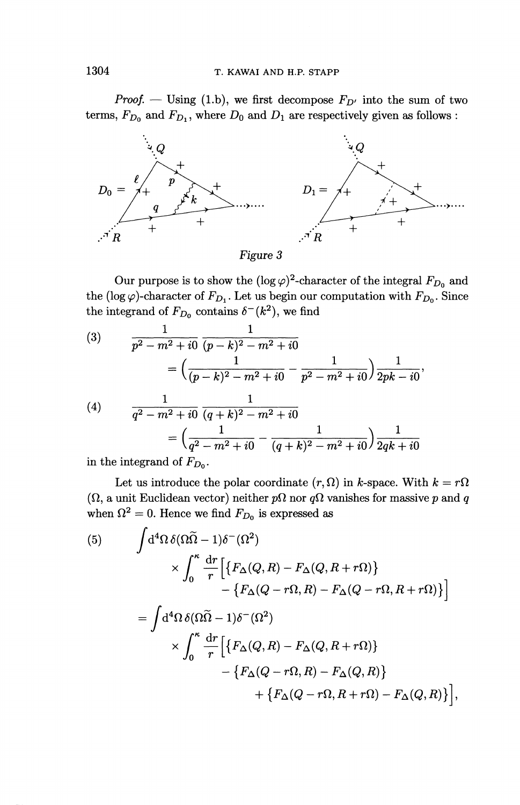# 1304 T. KAWAI AND H.P. STAPP

*Proof.* — Using (1.b), we first decompose  $F_{D'}$  into the sum of two terms,  $F_{D_0}$  and  $F_{D_1}$ , where  $D_0$  and  $D_1$  are respectively given as follows :



Our purpose is to show the  $(\log \varphi)^2$ -character of the integral  $F_{D_0}$  and the (log  $\varphi$ )-character of  $F_{D_1}$ . Let us begin our computation with  $F_{D_0}$ . Since the integrand of  $F_{D_2}$  contains  $\delta^{-}(k^2)$ , we find

(3) 
$$
\frac{1}{p^2 - m^2 + i0} \frac{1}{(p - k)^2 - m^2 + i0}
$$

$$
= \left(\frac{1}{(p - k)^2 - m^2 + i0} - \frac{1}{p^2 - m^2 + i0}\right) \frac{1}{2pk - i0}
$$

$$
\frac{1}{q^2 - m^2 + i0} \frac{1}{(q + k)^2 - m^2 + i0}
$$

$$
= \left(\frac{1}{q^2 - m^2 + i0} - \frac{1}{(q + k)^2 - m^2 + i0}\right) \frac{1}{2qk + i0}
$$

in the integrand of *FDQ .*

Let us introduce the polar coordinate  $(r, \Omega)$  in k-space. With  $k = r\Omega$ ( $\Omega$ , a unit Euclidean vector) neither  $p\Omega$  nor  $q\Omega$  vanishes for massive p and q when  $\Omega^2 = 0$ . Hence we find  $F_{D_0}$  is expressed as

(5) 
$$
\int d^4\Omega \, \delta(\Omega \widetilde{\Omega} - 1) \delta^-(\Omega^2) \times \int_0^{\kappa} \frac{dr}{r} \Big[ \{ F_{\Delta}(Q, R) - F_{\Delta}(Q, R + r\Omega) \} - \{ F_{\Delta}(Q - r\Omega, R) - F_{\Delta}(Q - r\Omega, R + r\Omega) \} \Big] = \int d^4\Omega \, \delta(\Omega \widetilde{\Omega} - 1) \delta^-(\Omega^2) \times \int_0^{\kappa} \frac{dr}{r} \Big[ \{ F_{\Delta}(Q, R) - F_{\Delta}(Q, R + r\Omega) \} - \{ F_{\Delta}(Q - r\Omega, R) - F_{\Delta}(Q, R) \} + \{ F_{\Delta}(Q - r\Omega, R + r\Omega) - F_{\Delta}(Q, R) \} \Big],
$$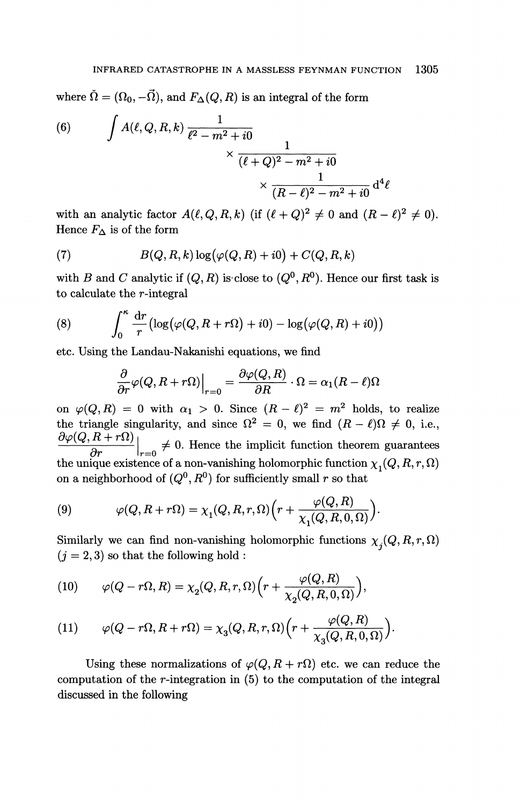where  $\check{\Omega} = (\Omega_0, -\vec{\Omega})$ , and  $F_{\Delta}(Q, R)$  is an integral of the form

(6) 
$$
\int A(\ell, Q, R, k) \frac{1}{\ell^2 - m^2 + i0} \times \frac{1}{(\ell + Q)^2 - m^2 + i0} \times \frac{1}{(R - \ell)^2 - m^2 + i0} d^4 \ell
$$

with an analytic factor  $A(\ell, Q, R, k)$  (if  $(\ell + Q)^2 \neq 0$  and  $(R - \ell)^2 \neq 0$ ). Hence  $F_{\Delta}$  is of the form

(7) 
$$
B(Q,R,k)\log(\varphi(Q,R)+i0)+C(Q,R,k)
$$

with B and C analytic if  $(Q, R)$  is close to  $(Q<sup>0</sup>, R<sup>0</sup>)$ . Hence our first task is to calculate the r-integral

(8) 
$$
\int_0^{\kappa} \frac{dr}{r} \left( \log(\varphi(Q, R + r\Omega) + i0) - \log(\varphi(Q, R) + i0) \right)
$$

etc. Using the Landau-Nakanishi equations, we find  
 
$$
\frac{\partial}{\partial r}\varphi(Q,R+r\Omega)\Big|_{r=0}=\frac{\partial\varphi(Q,R)}{\partial R}\cdot\Omega=\alpha_1(R-\ell)\Omega
$$

on  $\varphi(Q, R) = 0$  with  $\alpha_1 > 0$ . Since  $(R - \ell)^2 = m^2$  holds, to realize on  $\varphi(Q, R) = 0$  with  $\alpha_1 > 0$ . Since  $(R - \ell)^2 = m^2$  holds, to realize the triangle singularity, and since  $\Omega^2 = 0$ , we find  $(R - \ell)\Omega \neq 0$ , i.e.  $\partial \varphi(Q, R+r\Omega)$  $\frac{\partial \varphi(Q, R + r\chi)}{\partial q}$   $\neq 0$ . Hence the implicit function theorem guarantee the triangle singularity, and since  $\Omega^2 = 0$ , we find  $(R - \ell)\Omega \neq 0$ , i.e.,<br>  $\frac{\partial \varphi(Q, R + r\Omega)}{\partial r}\Big|_{r=0} \neq 0$ . Hence the implicit function theorem guarantees<br>
the unique existence of a non-vanishing holomorphic function on a neighborhood of  $(Q^0, R^0)$  for sufficiently small r so that

(9) 
$$
\varphi(Q, R + r\Omega) = \chi_1(Q, R, r, \Omega) \Big( r + \frac{\varphi(Q, R)}{\chi_1(Q, R, 0, \Omega)} \Big).
$$

Similarly we can find non-vanishing holomorphic functions  $\chi_j(Q,R,r,\Omega)$  $(j = 2, 3)$  so that the following hold :

(10) 
$$
\varphi(Q - r\Omega, R) = \chi_2(Q, R, r, \Omega) \Big( r + \frac{\varphi(Q, R)}{\chi_2(Q, R, 0, \Omega)} \Big)
$$

(11) 
$$
\varphi(Q - r\Omega, R + r\Omega) = \chi_3(Q, R, r, \Omega) \Big( r + \frac{\varphi(Q, R)}{\chi_3(Q, R, 0, \Omega)} \Big).
$$

Using these normalizations of  $\varphi(Q, R + r\Omega)$  etc. we can reduce the computation of the r-integration in  $(5)$  to the computation of the integral discussed in the following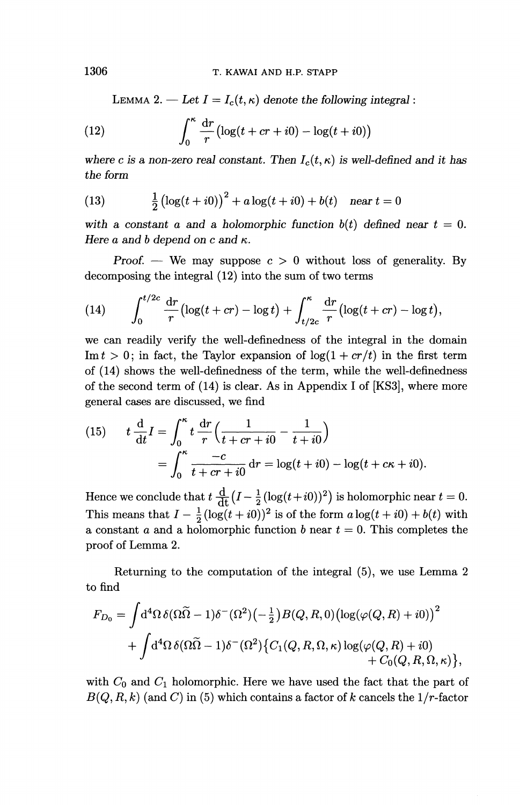LEMMA 2. — Let  $I = I_c(t, \kappa)$  denote the following integral:

(12) 
$$
\int_0^{\kappa} \frac{\mathrm{d}r}{r} \left( \log(t + cr + i0) - \log(t + i0) \right)
$$

where c is a non-zero real constant. Then  $I_c(t, \kappa)$  is well-defined and it has *the form*

(13) 
$$
\frac{1}{2} (\log(t + i0))^2 + a \log(t + i0) + b(t) \quad \text{near } t = 0
$$

with a constant a and a holomorphic function  $b(t)$  defined near  $t = 0$ . Here  $a$  and  $b$  depend on  $c$  and  $\kappa$ .

*Proof.* — We may suppose  $c > 0$  without loss of generality. By decomposing the integral (12) into the sum of two terms

(14) 
$$
\int_0^{t/2c} \frac{dr}{r} (\log(t+cr) - \log t) + \int_{t/2c}^{\kappa} \frac{dr}{r} (\log(t+cr) - \log t),
$$

we can readily verify the well-definedness of the integral in the domain Im  $t > 0$ ; in fact, the Taylor expansion of  $\log(1 + cr/t)$  in the first term of (14) shows the well-definedness of the term, while the well-definedness of the second term of (14) is clear. As in Appendix I of [KS3], where more general cases are discussed, we find

(15) 
$$
t \frac{d}{dt} I = \int_0^{\kappa} t \frac{dr}{r} \left( \frac{1}{t + cr + i0} - \frac{1}{t + i0} \right)
$$

$$
= \int_0^{\kappa} \frac{-c}{t + cr + i0} dr = \log(t + i0) - \log(t + c\kappa + i0).
$$

Hence we conclude that  $t \frac{d}{dt} (I - \frac{1}{2} (\log(t+i0))^2)$  is holomorphic near  $t = 0$ .  $= \int_0^{\infty} \frac{e^{-t}}{t + cr + i0} dt =$ <br>
Hence we conclude that  $t \frac{d}{dt} (I - \frac{1}{2} \left( \log(t + i0) \right)^2)$ <br>
a constant c and a helementia func-This means that  $I - \frac{1}{2} (\log(t + i0))^2$  is of the form  $a \log(t + i0) + b(t)$  with a constant a and a holomorphic function *b* near *t* = 0. This completes the proof of Lemma 2.

Returning to the computation of the integral (5), we use Lemma 2 to find

$$
F_{D_0} = \int d^4\Omega \,\delta(\Omega \widetilde{\Omega} - 1)\delta^-(\Omega^2) \left(-\frac{1}{2}\right) B(Q, R, 0) \left(\log(\varphi(Q, R) + i0)\right)^2
$$
  
+ 
$$
\int d^4\Omega \,\delta(\Omega \widetilde{\Omega} - 1)\delta^-(\Omega^2) \left\{C_1(Q, R, \Omega, \kappa) \log(\varphi(Q, R) + i0)\right.+ C_0(Q, R, \Omega, \kappa) \right\},\,
$$

with  $C_0$  and  $C_1$  holomorphic. Here we have used the fact that the part of B(Q, *R, k)* (and *C)* in (5) which contains a factor of *k* cancels the 1/r-factor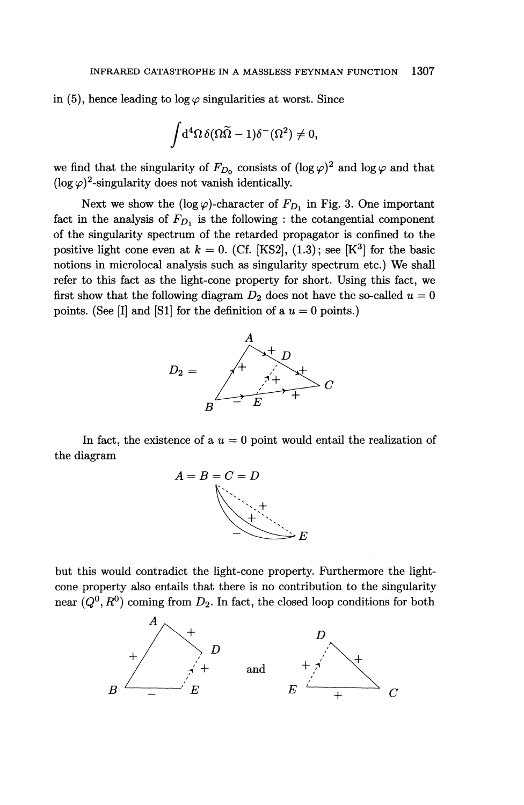in (5), hence leading to log  $\varphi$  singularities at worst. Since

$$
\int\!{\rm d}^4\Omega\,\delta(\Omega\widetilde{\Omega}-1)\delta^-(\Omega^2)\neq 0,
$$

we find that the singularity of  $F_{D_0}$  consists of  $(\log \varphi)^2$  and  $\log \varphi$  and that (log  $\varphi$ )<sup>2</sup>-singularity does not vanish identically.

Next we show the (log  $\varphi$ )-character of  $F_{D_1}$  in Fig. 3. One important fact in the analysis of  $F_{D_1}$  is the following : the cotangential component of the singularity spectrum of the retarded propagator is confined to the positive light cone even at  $k = 0$ . (Cf. [KS2],  $(1.3)$ ; see [K<sup>3</sup>] for the basic notions in microlocal analysis such as singularity spectrum etc.) We shall refer to this fact as the light-cone property for short. Using this fact, we first show that the following diagram  $D_2$  does not have the so-called  $u = 0$ points. (See [I] and [S1] for the definition of a  $u = 0$  points.)



In fact, the existence of a  $u = 0$  point would entail the realization of the diagram



but this would contradict the light-cone property. Furthermore the lightcone property also entails that there is no contribution to the singularity near  $(Q^0, R^0)$  coming from  $D_2$ . In fact, the closed loop conditions for both

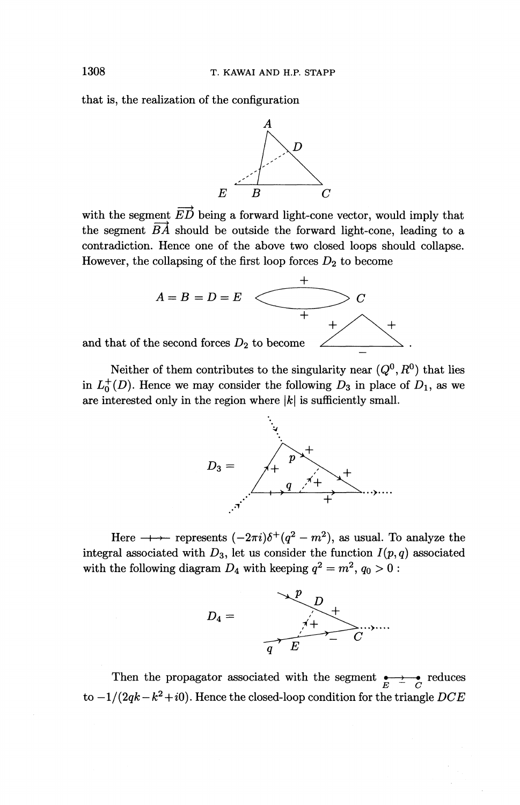that is, the realization of the configuration



with the segment  $\overrightarrow{ED}$  being a forward light-cone vector, would imply that the segment *BA* should be outside the forward light-cone, leading to a contradiction. Hence one of the above two closed loops should collapse. However, the collapsing of the first loop forces *D^* to become



Neither of them contributes to the singularity near  $(Q^0, R^0)$  that lies in  $L_0^+(D)$ . Hence we may consider the following  $D_3$  in place of  $D_1$ , as we are interested only in the region where  $|k|$  is sufficiently small.



Here  $\longrightarrow$  represents  $(-2\pi i)\delta^+(q^2 - m^2)$ , as usual. To analyze the integral associated with  $D_3$ , let us consider the function  $I(p,q)$  associated with the following diagram  $D_4$  with keeping  $q^2 = m^2$ ,  $q_0 > 0$ 



Then the propagator associated with the segment  $\underset{E}{\longleftrightarrow}$   $\underset{C}{\longleftrightarrow}$  reduces to  $-1/(2qk-k^2+i0)$ . Hence the closed-loop condition for the triangle *DCI*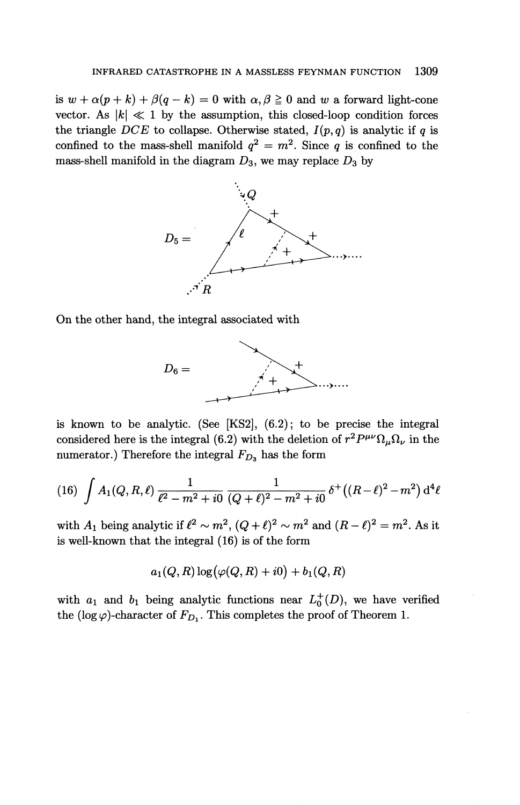is  $w + \alpha(p + k) + \beta(q - k) = 0$  with  $\alpha, \beta \ge 0$  and w a forward light-cone vector. As  $|k| \ll 1$  by the assumption, this closed-loop condition forces the triangle *DCE* to collapse. Otherwise stated,  $I(p,q)$  is analytic if q is confined to the mass-shell manifold  $q^2 = m^2$ . Since q is confined to the mass-shell manifold in the diagram  $D_3$ , we may replace  $D_3$  by



On the other hand, the integral associated with



is known to be analytic. (See [KS2], (6.2); to be precise the integral is known to be analytic. (See [KS2], (6.2); to be precise the integral considered here is the integral (6.2) with the deletion of  $r^2 P^{\mu\nu} \Omega_{\mu} \Omega_{\nu}$  in the numerator.) Therefore the integral  $F_{D_3}$  has the form

(16) 
$$
\int A_1(Q, R, \ell) \frac{1}{\ell^2 - m^2 + i0} \frac{1}{(Q + \ell)^2 - m^2 + i0} \delta^+ ((R - \ell)^2 - m^2) d^4 \ell
$$

with  $A_1$  being analytic if  $\ell^2 \sim m^2$ ,  $(Q + \ell)^2 \sim m^2$  and  $(R - \ell)^2 = m^2$ . As it is well-known that the integral (16) is of the form

$$
a_1(Q,R)\log(\varphi(Q,R)+i0)+b_1(Q,R)
$$

with  $a_1$  and  $b_1$  being analytic functions near  $L_0^+(D)$ , we have verified the (log  $\varphi$ )-character of  $F_{D_1}$ . This completes the proof of Theorem 1.